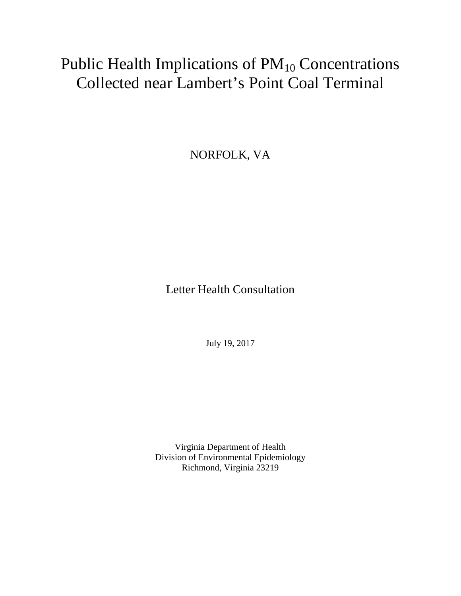# Public Health Implications of  $PM_{10}$  Concentrations Collected near Lambert's Point Coal Terminal

NORFOLK, VA

Letter Health Consultation

July 19, 2017

Virginia Department of Health Division of Environmental Epidemiology Richmond, Virginia 23219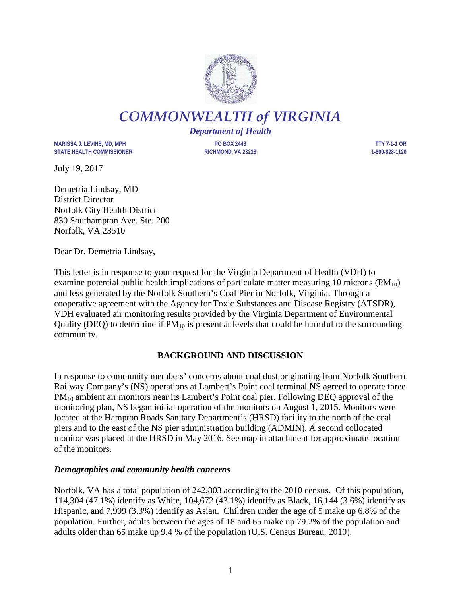

*COMMONWEALTH of VIRGINIA*

*Department of Health*

**MARISSA J. LEVINE, MD, MPH PO BOX 2448 TTY 7-1-1 OR STATE HEALTH COMMISSIONER RICHMOND, VA 23218 1-800-828-1120**

July 19, 2017

Demetria Lindsay, MD District Director Norfolk City Health District 830 Southampton Ave. Ste. 200 Norfolk, VA 23510

Dear Dr. Demetria Lindsay,

This letter is in response to your request for the Virginia Department of Health (VDH) to examine potential public health implications of particulate matter measuring 10 microns ( $PM_{10}$ ) and less generated by the Norfolk Southern's Coal Pier in Norfolk, Virginia. Through a cooperative agreement with the Agency for Toxic Substances and Disease Registry (ATSDR), VDH evaluated air monitoring results provided by the Virginia Department of Environmental Quality (DEQ) to determine if  $PM_{10}$  is present at levels that could be harmful to the surrounding community.

# **BACKGROUND AND DISCUSSION**

In response to community members' concerns about coal dust originating from Norfolk Southern Railway Company's (NS) operations at Lambert's Point coal terminal NS agreed to operate three PM<sub>10</sub> ambient air monitors near its Lambert's Point coal pier. Following DEQ approval of the monitoring plan, NS began initial operation of the monitors on August 1, 2015. Monitors were located at the Hampton Roads Sanitary Department's (HRSD) facility to the north of the coal piers and to the east of the NS pier administration building (ADMIN). A second collocated monitor was placed at the HRSD in May 2016. See map in attachment for approximate location of the monitors.

#### *Demographics and community health concerns*

Norfolk, VA has a total population of 242,803 according to the 2010 census. Of this population, 114,304 (47.1%) identify as White, 104,672 (43.1%) identify as Black, 16,144 (3.6%) identify as Hispanic, and 7,999 (3.3%) identify as Asian. Children under the age of 5 make up 6.8% of the population. Further, adults between the ages of 18 and 65 make up 79.2% of the population and adults older than 65 make up 9.4 % of the population (U.S. Census Bureau, 2010).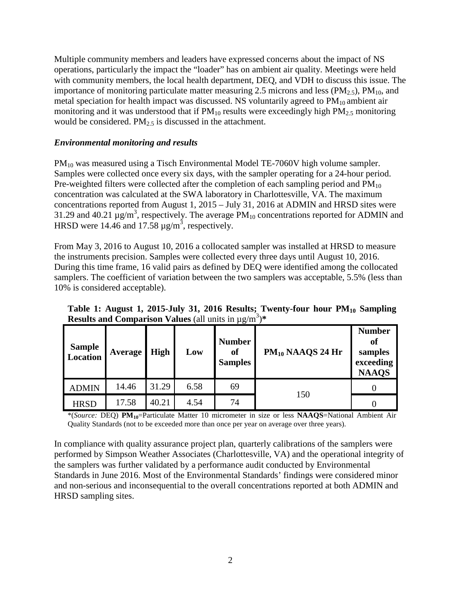Multiple community members and leaders have expressed concerns about the impact of NS operations, particularly the impact the "loader" has on ambient air quality. Meetings were held with community members, the local health department, DEQ, and VDH to discuss this issue. The importance of monitoring particulate matter measuring 2.5 microns and less ( $PM_{2.5}$ ),  $PM_{10}$ , and metal speciation for health impact was discussed. NS voluntarily agreed to  $PM_{10}$  ambient air monitoring and it was understood that if  $PM_{10}$  results were exceedingly high  $PM_{2.5}$  monitoring would be considered.  $PM<sub>2.5</sub>$  is discussed in the attachment.

### *Environmental monitoring and results*

PM<sub>10</sub> was measured using a Tisch Environmental Model TE-7060V high volume sampler. Samples were collected once every six days, with the sampler operating for a 24-hour period. Pre-weighted filters were collected after the completion of each sampling period and  $PM_{10}$ concentration was calculated at the SWA laboratory in Charlottesville, VA. The maximum concentrations reported from August 1, 2015 – July 31, 2016 at ADMIN and HRSD sites were 31.29 and 40.21  $\mu$ g/m<sup>3</sup>, respectively. The average PM<sub>10</sub> concentrations reported for ADMIN and HRSD were 14.46 and 17.58  $\mu$ g/m<sup>3</sup>, respectively.

From May 3, 2016 to August 10, 2016 a collocated sampler was installed at HRSD to measure the instruments precision. Samples were collected every three days until August 10, 2016. During this time frame, 16 valid pairs as defined by DEQ were identified among the collocated samplers. The coefficient of variation between the two samplers was acceptable, 5.5% (less than 10% is considered acceptable).

|  |                                                                              | Table 1: August 1, 2015-July 31, 2016 Results; Twenty-four nour PM <sub>10</sub> Sampling |          |
|--|------------------------------------------------------------------------------|-------------------------------------------------------------------------------------------|----------|
|  | <b>Results and Comparison Values</b> (all units in $\mu$ g/m <sup>3</sup> )* |                                                                                           |          |
|  |                                                                              |                                                                                           | Number 1 |

**Table 1: August 1, 2015-July 31, 2016 Results; Twenty-four hour PM10 Sampling** 

| Sample<br>Location | Average | <b>High</b> | Low  | <b>Number</b><br><b>of</b><br><b>Samples</b> | $PM_{10}$ NAAQS 24 Hr | <b>Number</b><br><b>of</b><br>samples<br>exceeding<br><b>NAAQS</b> |
|--------------------|---------|-------------|------|----------------------------------------------|-----------------------|--------------------------------------------------------------------|
| <b>ADMIN</b>       | 14.46   | 31.29       | 6.58 | 69                                           | 150                   |                                                                    |
| <b>HRSD</b>        | 17.58   | 40.21       | 4.54 | 74                                           |                       |                                                                    |

\*(*Source:* DEQ) **PM10**=Particulate Matter 10 micrometer in size or less **NAAQS**=National Ambient Air Quality Standards (not to be exceeded more than once per year on average over three years).

In compliance with quality assurance project plan, quarterly calibrations of the samplers were performed by Simpson Weather Associates (Charlottesville, VA) and the operational integrity of the samplers was further validated by a performance audit conducted by Environmental Standards in June 2016. Most of the Environmental Standards' findings were considered minor and non-serious and inconsequential to the overall concentrations reported at both ADMIN and HRSD sampling sites.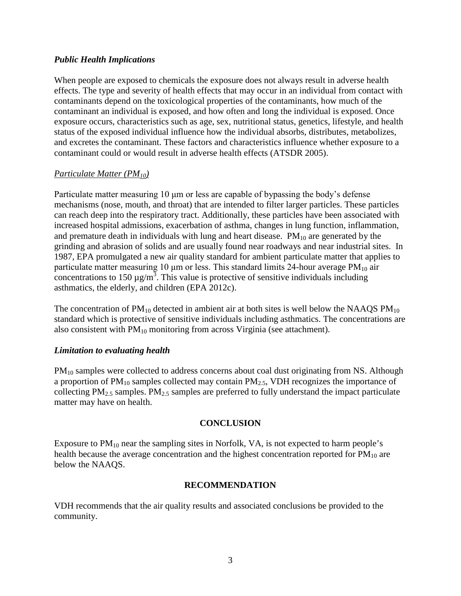#### *Public Health Implications*

When people are exposed to chemicals the exposure does not always result in adverse health effects. The type and severity of health effects that may occur in an individual from contact with contaminants depend on the toxicological properties of the contaminants, how much of the contaminant an individual is exposed, and how often and long the individual is exposed. Once exposure occurs, characteristics such as age, sex, nutritional status, genetics, lifestyle, and health status of the exposed individual influence how the individual absorbs, distributes, metabolizes, and excretes the contaminant. These factors and characteristics influence whether exposure to a contaminant could or would result in adverse health effects (ATSDR 2005).

#### *Particulate Matter (PM10)*

Particulate matter measuring 10 μm or less are capable of bypassing the body's defense mechanisms (nose, mouth, and throat) that are intended to filter larger particles. These particles can reach deep into the respiratory tract. Additionally, these particles have been associated with increased hospital admissions, exacerbation of asthma, changes in lung function, inflammation, and premature death in individuals with lung and heart disease.  $PM_{10}$  are generated by the grinding and abrasion of solids and are usually found near roadways and near industrial sites. In 1987, EPA promulgated a new air quality standard for ambient particulate matter that applies to particulate matter measuring 10  $\mu$ m or less. This standard limits 24-hour average PM<sub>10</sub> air concentrations to 150  $\mu$ g/m<sup>3</sup>. This value is protective of sensitive individuals including asthmatics, the elderly, and children (EPA 2012c).

The concentration of  $PM_{10}$  detected in ambient air at both sites is well below the NAAQS  $PM_{10}$ standard which is protective of sensitive individuals including asthmatics. The concentrations are also consistent with  $PM_{10}$  monitoring from across Virginia (see attachment).

#### *Limitation to evaluating health*

PM<sub>10</sub> samples were collected to address concerns about coal dust originating from NS. Although a proportion of  $PM_{10}$  samples collected may contain  $PM_{2.5}$ , VDH recognizes the importance of collecting  $PM_{2.5}$  samples.  $PM_{2.5}$  samples are preferred to fully understand the impact particulate matter may have on health.

#### **CONCLUSION**

Exposure to  $PM_{10}$  near the sampling sites in Norfolk, VA, is not expected to harm people's health because the average concentration and the highest concentration reported for  $PM_{10}$  are below the NAAQS.

#### **RECOMMENDATION**

VDH recommends that the air quality results and associated conclusions be provided to the community.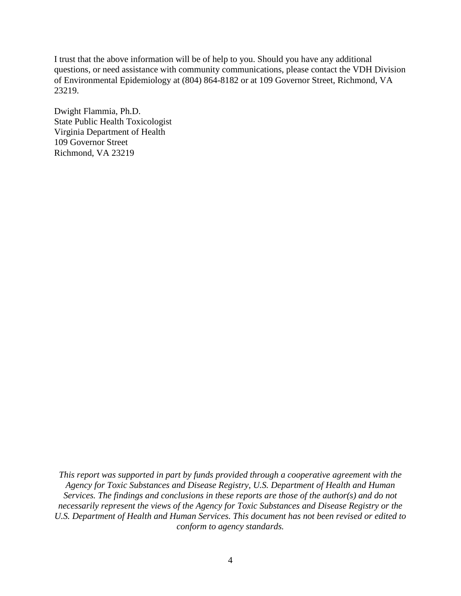I trust that the above information will be of help to you. Should you have any additional questions, or need assistance with community communications, please contact the VDH Division of Environmental Epidemiology at (804) 864-8182 or at 109 Governor Street, Richmond, VA 23219.

Dwight Flammia, Ph.D. State Public Health Toxicologist Virginia Department of Health 109 Governor Street Richmond, VA 23219

*This report was supported in part by funds provided through a cooperative agreement with the Agency for Toxic Substances and Disease Registry, U.S. Department of Health and Human Services. The findings and conclusions in these reports are those of the author(s) and do not necessarily represent the views of the Agency for Toxic Substances and Disease Registry or the U.S. Department of Health and Human Services. This document has not been revised or edited to conform to agency standards.*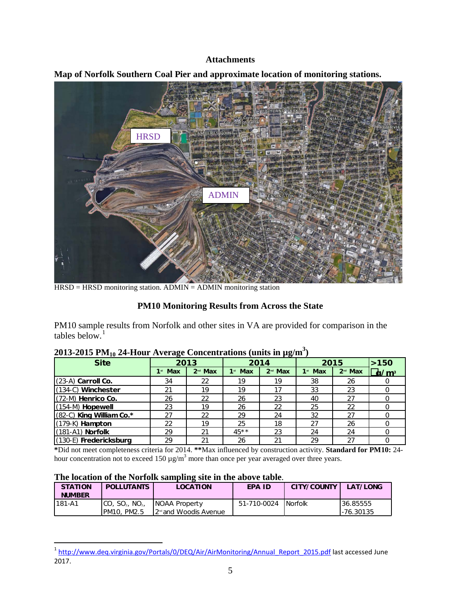#### **Attachments**



**Map of Norfolk Southern Coal Pier and approximate location of monitoring stations.**

HRSD = HRSD monitoring station. ADMIN = ADMIN monitoring station

# **PM10 Monitoring Results from Across the State**

PM10 sample results from Norfolk and other sites in VA are provided for comparison in the tables below. $<sup>1</sup>$  $<sup>1</sup>$  $<sup>1</sup>$ </sup>

| <b>Site</b>                | 2013      |                     | 2014      |                     | 2015      |           | >150                          |
|----------------------------|-----------|---------------------|-----------|---------------------|-----------|-----------|-------------------------------|
|                            | $1st$ Max | 2 <sup>nd</sup> Max | $1st$ Max | 2 <sup>nd</sup> Max | $1st$ Max | $2nd$ Max | $\frac{1}{2}$ /m <sup>3</sup> |
| (23-A) Carroll Co.         | 34        | 22                  | 19        | 19                  | 38        | 26        |                               |
| $(134-C)$ Winchester       | 21        | 19                  | 19        | 17                  | 33        | 23        |                               |
| (72-M) Henrico Co.         | 26        | 22                  | 26        | 23                  | 40        | 27        |                               |
| $(154-M)$ Hopewell         | 23        | 19                  | 26        | 22                  | 25        | 22        |                               |
| $(82-C)$ King William Co.* | 27        | 22                  | 29        | 24                  | 32        | 27        |                               |
| $(179-K)$ Hampton          | 22        | 19                  | 25        | 18                  | 27        | 26        |                               |
| $(181-A1)$ Norfolk         | 29        | 21                  | $45**$    | 23                  | 24        | 24        |                               |
| (130-E) Fredericksburg     | 29        | 21                  | 26        | 21                  | 29        | 27        |                               |

# **2013-2015 PM10 24-Hour Average Concentrations (units in µg/m3 )**

**\***Did not meet completeness criteria for 2014. **\*\***Max influenced by construction activity. **Standard for PM10:** 24 hour concentration not to exceed 150  $\mu$ g/m<sup>3</sup> more than once per year averaged over three years.

#### **The location of the Norfolk sampling site in the above table**.

| <b>STATION</b><br><b>NUMBER</b> | <b>POLLUTANTS</b>                     | <b>LOCATION</b>                    | <b>EPA ID</b> | <b>CITY/COUNTY</b> | LAT/LONG  |
|---------------------------------|---------------------------------------|------------------------------------|---------------|--------------------|-----------|
| l 181-A1                        | CO, SO <sub>2</sub> , NO <sub>2</sub> | <b>NOAA Property</b>               | 51-710-0024   | <b>INorfolk</b>    | 36.85555  |
|                                 | . PM2.5<br>PM10.                      | 12 <sup>nd</sup> and Woodis Avenue |               |                    | -76.30135 |

<span id="page-5-0"></span><sup>&</sup>lt;sup>1</sup> [http://www.deq.virginia.gov/Portals/0/DEQ/Air/AirMonitoring/Annual\\_Report\\_2015.pdf](http://www.deq.virginia.gov/Portals/0/DEQ/Air/AirMonitoring/Annual_Report_2015.pdf) last accessed June 2017.